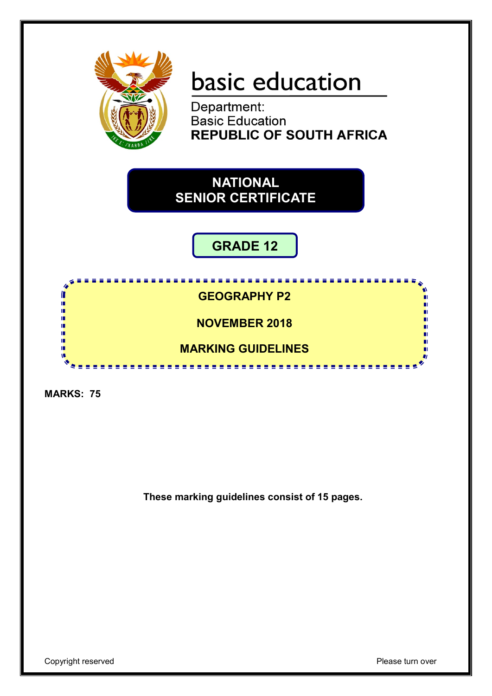

# basic education

Department: **Basic Education REPUBLIC OF SOUTH AFRICA** 

**NATIONAL SENIOR CERTIFICATE**

## **GRADE 12**

888 B <u>...........</u> I **GEOGRAPHY P2** ı. ú 10 **NOVEMBER 2018** m m T. **MARKING GUIDELINES** 

**MARKS: 75**

**These marking guidelines consist of 15 pages.**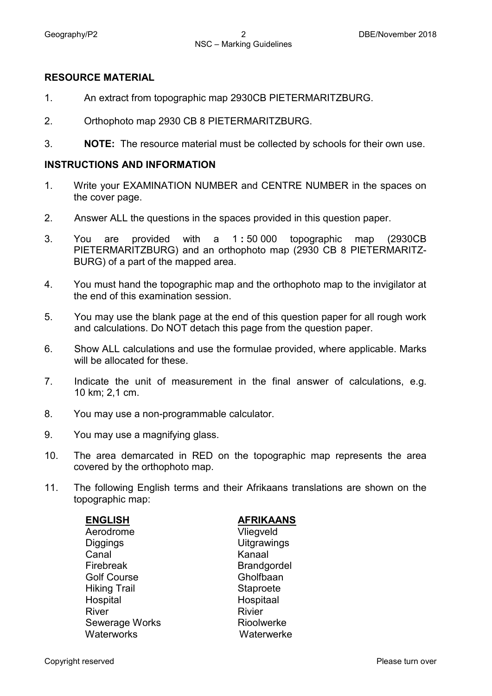### **RESOURCE MATERIAL**

- 1. An extract from topographic map 2930CB PIETERMARITZBURG.
- 2. Orthophoto map 2930 CB 8 PIETERMARITZBURG.
- 3. **NOTE:** The resource material must be collected by schools for their own use.

### **INSTRUCTIONS AND INFORMATION**

- 1. Write your EXAMINATION NUMBER and CENTRE NUMBER in the spaces on the cover page.
- 2. Answer ALL the questions in the spaces provided in this question paper.
- 3. You are provided with a 1 **:** 50 000 topographic map (2930CB PIETERMARITZBURG) and an orthophoto map (2930 CB 8 PIETERMARITZ-BURG) of a part of the mapped area.
- 4. You must hand the topographic map and the orthophoto map to the invigilator at the end of this examination session.
- 5. You may use the blank page at the end of this question paper for all rough work and calculations. Do NOT detach this page from the question paper.
- 6. Show ALL calculations and use the formulae provided, where applicable. Marks will be allocated for these.
- 7. Indicate the unit of measurement in the final answer of calculations, e.g. 10 km; 2,1 cm.
- 8. You may use a non-programmable calculator.
- 9. You may use a magnifying glass.
- 10. The area demarcated in RED on the topographic map represents the area covered by the orthophoto map.
- 11. The following English terms and their Afrikaans translations are shown on the topographic map:

| <b>ENGLISH</b>      | <b>AFRIKAANS</b>   |
|---------------------|--------------------|
| Aerodrome           | Vliegveld          |
| Diggings            | <b>Uitgrawings</b> |
| Canal               | Kanaal             |
| Firebreak           | <b>Brandgordel</b> |
| <b>Golf Course</b>  | Gholfbaan          |
| <b>Hiking Trail</b> | Staproete          |
| Hospital            | Hospitaal          |
| River               | <b>Rivier</b>      |
| Sewerage Works      | Rioolwerke         |
| Waterworks          | Waterwerke         |
|                     |                    |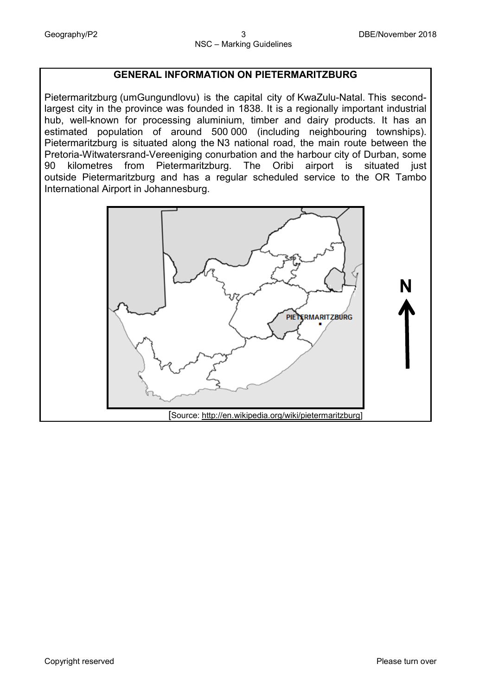### **GENERAL INFORMATION ON PIETERMARITZBURG**

Pietermaritzburg (umGungundlovu) is the capital city of [KwaZulu-Natal.](https://en.wikipedia.org/wiki/KwaZulu-Natal) This secondlargest city in the province was founded in 1838. It is a regionally important industrial hub, well-known for processing aluminium, timber and dairy products. It has an estimated population of around 500 000 (including neighbouring townships). Pietermaritzburg is situated along the [N3 national road,](https://en.wikipedia.org/wiki/N3_road_(South_Africa)) the main route between the Pretoria-Witwatersrand-Vereeniging conurbation and the harbour city of Durban, some 90 kilometres from Pietermaritzburg. The Oribi airport is situated just outside [Pietermaritzburg a](https://en.wikipedia.org/wiki/Pietermaritzburg_Airport)nd has a regular scheduled service to the [OR Tambo](https://en.wikipedia.org/wiki/OR_Tambo_International_Airport)  [International Airport](https://en.wikipedia.org/wiki/OR_Tambo_International_Airport) in Johannesburg.

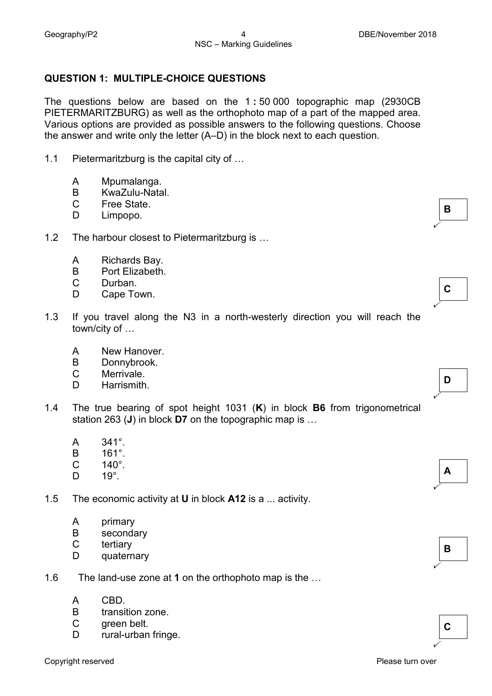### **QUESTION 1: MULTIPLE-CHOICE QUESTIONS**

The questions below are based on the 1 **:** 50 000 topographic map (2930CB PIETERMARITZBURG) as well as the orthophoto map of a part of the mapped area. Various options are provided as possible answers to the following questions. Choose the answer and write only the letter (A–D) in the block next to each question.

- 1.1 Pietermaritzburg is the capital city of …
	- A Mpumalanga.
	- B KwaZulu-Natal.
	- C Free State.
	- D<sub>1</sub> Limpopo. **B**<br>Limpopo.
- 1.2 The harbour closest to Pietermaritzburg is …
	- A Richards Bay.
	- B Port Elizabeth.
	- C Durban.
	- D Cape Town. **<sup>C</sup>**
- 1.3 If you travel along the N3 in a north-westerly direction you will reach the town/city of …
	- A New Hanover.
	- B Donnybrook.
	- $\mathcal{C}$ Merrivale.<br>Harrismith.
	- D Harrismith. **<sup>D</sup>**
- 1.4 The true bearing of spot height 1031 (**K**) in block **B6** from trigonometrical station 263 (**J**) in block **D7** on the topographic map is …
	- A 341°.
	- B 161°.
	- C  $140^{\circ}$ .<br> $19^{\circ}$
	- D<sub>1</sub> 19°. **<sup>A</sup>**

1.5 The economic activity at **U** in block **A12** is a ... activity.

- A primary
- B secondary
- C tertiary
- D<sub>1</sub> quaternary
- 1.6 The land-use zone at **1** on the orthophoto map is the …
	- A CBD.
	- B transition zone.
	- C green belt.
	- D rural-urban fringe. **<sup>C</sup>**

 $\checkmark$ 

 $\checkmark$ 





| ٠<br>ı |  |  |
|--------|--|--|
|        |  |  |

 $\checkmark$ 

 $\checkmark$ 

 $\checkmark$ 

- **B**
-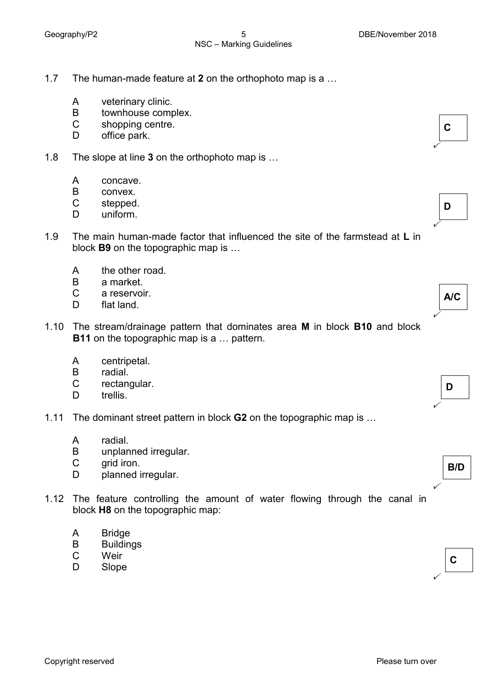- 1.7 The human-made feature at **2** on the orthophoto map is a …
	- A veterinary clinic.
	- B townhouse complex.
	- C shopping centre.
	- D office park.
- 1.8 The slope at line **3** on the orthophoto map is …
	- A concave.
	- B convex.
	- C stepped.<br>uniform.
	- D<sub>1</sub> stepped.<br>uniform.



- A the other road.
- B a market.
- C a reservoir.
- D. flat land.
- 1.10 The stream/drainage pattern that dominates area **M** in block **B10** and block **B11** on the topographic map is a ... pattern.
	- A centripetal.
	- B radial.
	- C rectangular.<br>trellis. trellis.<br>trellis.
	- D<sub>1</sub>
- 1.11 The dominant street pattern in block **G2** on the topographic map is …
	- A radial.
	- B unplanned irregular.
	- C grid iron.
	- D planned irregular.
- 1.12 The feature controlling the amount of water flowing through the canal in block **H8** on the topographic map:
	- A **Bridge**
	- B **Buildings**
	- C **Weir**
	- D wenter the contract of the contract of the contract of the contract of the contract of the contract of the contract of the contract of the contract of the contract of the contract of the contract of the contract of the con

**C**



 $\checkmark$ 

 $\checkmark$ 

 $\checkmark$ 

 $\checkmark$ 

 $\checkmark$ 



**B/D**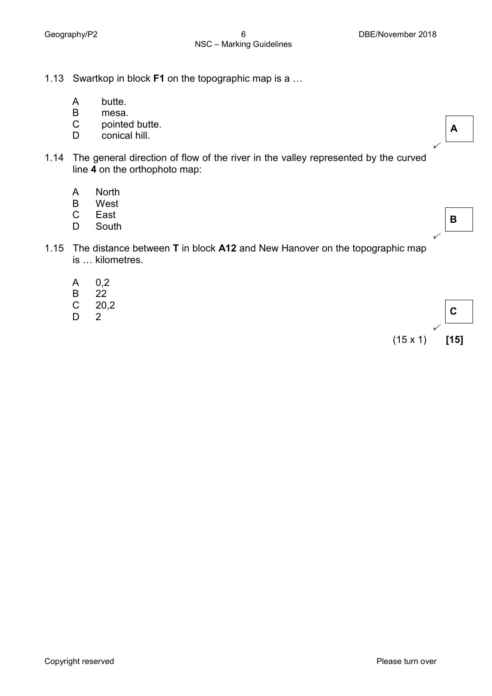1.13 Swartkop in block **F1** on the topographic map is a …

- A butte.
- B mesa.
- C pointed butte.<br>conical hill.
- D pointed batte.<br>
conical hill.
- 1.14 The general direction of flow of the river in the valley represented by the curved line **4** on the orthophoto map:
	- A North
	- B West
	- C
	- D East<br>South East **B**<br>South **B**
- 1.15 The distance between **T** in block **A12** and New Hanover on the topographic map is … kilometres.
	- A 0,2
	- B 22
	- C 20,2
	- D

 $\begin{bmatrix} 2 \end{bmatrix}$  $\checkmark$ (15 x 1) **[15]**

 $\checkmark$ 

 $\checkmark$ 

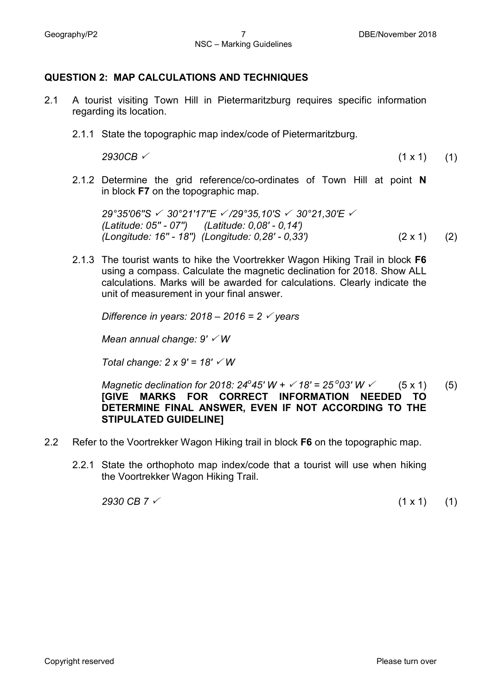### **QUESTION 2: MAP CALCULATIONS AND TECHNIQUES**

- 2.1 A tourist visiting Town Hill in Pietermaritzburg requires specific information regarding its location.
	- 2.1.1 State the topographic map index/code of Pietermaritzburg.

*2930CB* (1 x 1) (1)

2.1.2 Determine the grid reference/co-ordinates of Town Hill at point **N** in block **F7** on the topographic map.

*29°35'06''S 30°21'17''E /29°35,10'S 30°21,30'E (Latitude: 05'' - 07'') (Latitude: 0,08' - 0,14') (Longitude: 16'' - 18'') (Longitude: 0,28' - 0,33')* (2 x 1) (2)

2.1.3 The tourist wants to hike the Voortrekker Wagon Hiking Trail in block **F6**  using a compass. Calculate the magnetic declination for 2018. Show ALL calculations. Marks will be awarded for calculations. Clearly indicate the unit of measurement in your final answer.

*Difference in years: 2018 – 2016 = 2 years*

*Mean annual change: 9' W*

*Total change: 2 x 9' = 18' W*

*Magnetic declination for 2018:*  $24^{\circ}45'$  *W +*  $\check{6}$  */ 18' =*  $25^{\circ}03'$  *W*  $\check{6}$  *(5 x 1)* **[GIVE MARKS FOR CORRECT INFORMATION NEEDED TO DETERMINE FINAL ANSWER, EVEN IF NOT ACCORDING TO THE STIPULATED GUIDELINE]** (5)

- 2.2 Refer to the Voortrekker Wagon Hiking trail in block **F6** on the topographic map.
	- 2.2.1 State the orthophoto map index/code that a tourist will use when hiking the Voortrekker Wagon Hiking Trail.

 $2930 \text{ CB } 7 \checkmark$  (1 x 1) (1)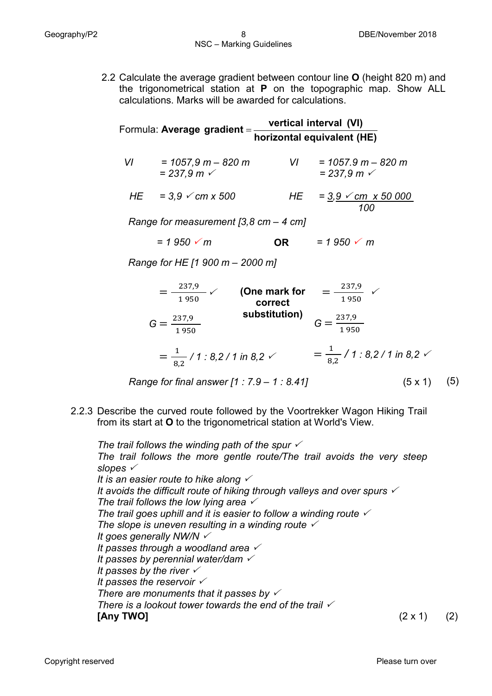2.2 Calculate the average gradient between contour line **O** (height 820 m) and the trigonometrical station at **P** on the topographic map. Show ALL calculations. Marks will be awarded for calculations.

| Formula: Average gradient = | vertical interval (VI)     |
|-----------------------------|----------------------------|
|                             | horizontal equivalent (HE) |

 *VI = 1057,9 m – 820 m VI = 1057.9 m – 820 m*  $= 237.9 \text{ m}$  *HE = 3,9 cm x 500*   $= 237.9 \text{ m}$  $HE = 3.9$   $\checkmark$  *cm*  $\times$  50 000

 *100*

*Range for measurement [3,8 cm – 4 cm]*

 $= 1.950 \times m$  $= 1.950 \times m$ **OR**

*Range for HE [1 900 m – 2000 m]* 

$$
= \frac{237.9}{1950} \checkmark
$$
 (One mark for  
\n
$$
G = \frac{237.9}{1950}
$$
 substitution)  
\n
$$
= \frac{1}{1950} \checkmark
$$
 substitution)  
\n
$$
= \frac{1}{8.2} / 1 : 8.2 / 1 \text{ in } 8.2 \checkmark
$$
  
\n
$$
= \frac{1}{8.2} / 1 : 8.2 / 1 \text{ in } 8.2 \checkmark
$$
  
\n
$$
= \frac{1}{8.2} / 1 : 8.2 / 1 \text{ in } 8.2 \checkmark
$$
  
\n
$$
= \frac{1}{8.2} / 1 : 8.2 / 1 \text{ in } 8.2 \checkmark
$$
  
\n
$$
= \frac{1}{8.2} / 1 : 8.2 / 1 \text{ in } 8.2 \checkmark
$$
  
\n
$$
(5 \times 1) (5)
$$

2.2.3 Describe the curved route followed by the Voortrekker Wagon Hiking Trail from its start at **O** to the trigonometrical station at World's View.

*The trail follows the winding path of the spur The trail follows the more gentle route/The trail avoids the very steep slopes It is an easier route to hike along It avoids the difficult route of hiking through valleys and over spurs The trail follows the low lying area The trail goes uphill and it is easier to follow a winding route The slope is uneven resulting in a winding route It goes generally NW/N It passes through a woodland area It passes by perennial water/dam It passes by the river It passes the reservoir There are monuments that it passes by There is a lookout tower towards the end of the trail*  **[Any TWO]** (2 x 1) (2)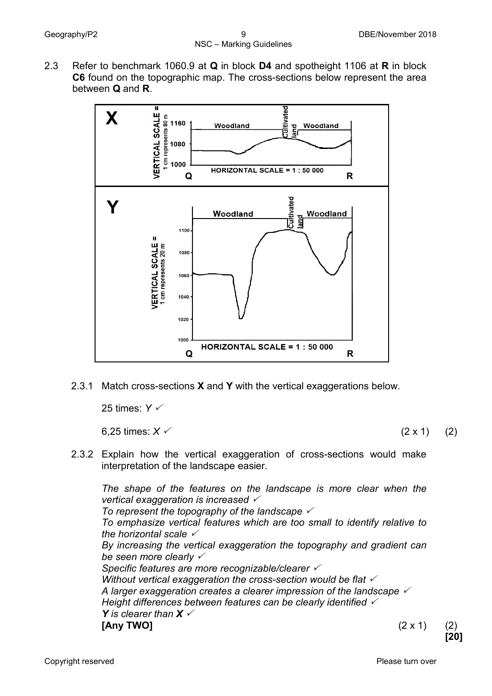2.3 Refer to benchmark 1060.9 at **Q** in block **D4** and spotheight 1106 at **R** in block **C6** found on the topographic map. The cross-sections below represent the area between **Q** and **R**.



2.3.1 Match cross-sections **X** and **Y** with the vertical exaggerations below.

25 times: *Y*

6,25 times:  $X \swarrow$  (2 x 1) (2)

2.3.2 Explain how the vertical exaggeration of cross-sections would make interpretation of the landscape easier.

*The shape of the features on the landscape is more clear when the vertical exaggeration is increased* 

*To represent the topography of the landscape* 

*To emphasize vertical features which are too small to identify relative to the horizontal scale* 

*By increasing the vertical exaggeration the topography and gradient can be seen more clearly* 

*Specific features are more recognizable/clearer* 

*Without vertical exaggeration the cross-section would be flat A larger exaggeration creates a clearer impression of the landscape Height differences between features can be clearly identified Y* is clearer than  $X \swarrow$ 

**[Any TWO]** (2 x 1) (2)

**[20]**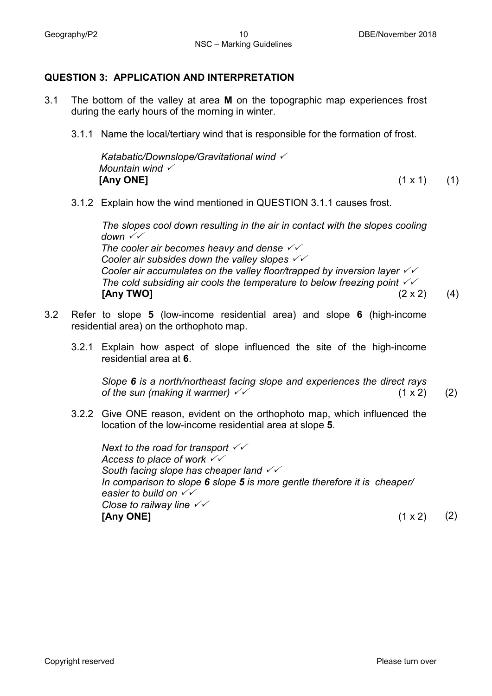### **QUESTION 3: APPLICATION AND INTERPRETATION**

- 3.1 The bottom of the valley at area **M** on the topographic map experiences frost during the early hours of the morning in winter.
	- 3.1.1 Name the local/tertiary wind that is responsible for the formation of frost.

*Katabatic/Downslope/Gravitational wind Mountain wind* **[Any ONE]** (1 x 1) (1)

3.1.2 Explain how the wind mentioned in QUESTION 3.1.1 causes frost.

 *The slopes cool down resulting in the air in contact with the slopes cooling down The cooler air becomes heavy and dense Cooler air subsides down the valley slopes Cooler air accumulates on the valley floor/trapped by inversion layer The cold subsiding air cools the temperature to below freezing point*   $[Any\;TWO]$  (2 x 2) (4)

- 3.2 Refer to slope **5** (low-income residential area) and slope **6** (high-income residential area) on the orthophoto map.
	- 3.2.1 Explain how aspect of slope influenced the site of the high-income residential area at **6**.

*Slope 6 is a north/northeast facing slope and experiences the direct rays of the sun (making it warmer)*  $\checkmark$  (1 x 2) (2)

3.2.2 Give ONE reason, evident on the orthophoto map, which influenced the location of the low-income residential area at slope **5**.

*Next to the road for transport Access to place of work South facing slope has cheaper land In comparison to slope 6 slope 5 is more gentle therefore it is cheaper/ easier to build on Close to railway line*  **[Any ONE]** (1 x 2) (2)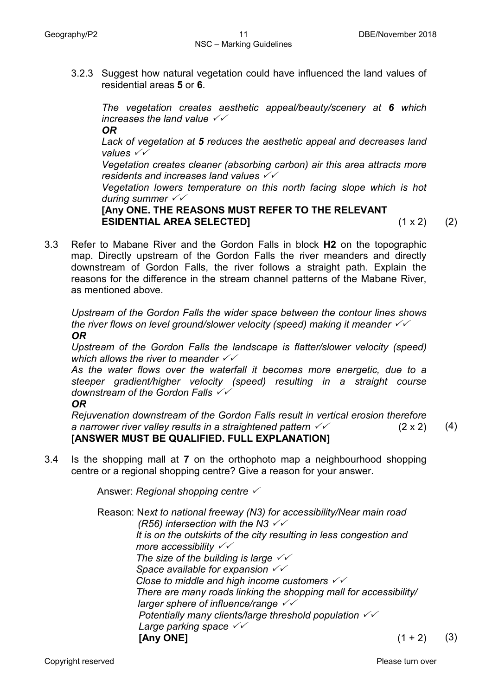3.2.3 Suggest how natural vegetation could have influenced the land values of residential areas **5** or **6**.

*The vegetation creates aesthetic appeal/beauty/scenery at 6 which increases the land value* 

*OR*

*Lack of vegetation at 5 reduces the aesthetic appeal and decreases land values* 

*Vegetation creates cleaner (absorbing carbon) air this area attracts more residents and increases land values*

*Vegetation lowers temperature on this north facing slope which is hot during summer* 

**[Any ONE. THE REASONS MUST REFER TO THE RELEVANT ESIDENTIAL AREA SELECTED]** (1 x 2) (2)

3.3 Refer to Mabane River and the Gordon Falls in block **H2** on the topographic map. Directly upstream of the Gordon Falls the river meanders and directly downstream of Gordon Falls, the river follows a straight path. Explain the reasons for the difference in the stream channel patterns of the Mabane River, as mentioned above.

*Upstream of the Gordon Falls the wider space between the contour lines shows the river flows on level ground/slower velocity (speed) making it meander OR*

*Upstream of the Gordon Falls the landscape is flatter/slower velocity (speed) which allows the river to meander* 

*As the water flows over the waterfall it becomes more energetic, due to a steeper gradient/higher velocity (speed) resulting in a straight course downstream of the Gordon Falls*

### *OR*

*Rejuvenation downstream of the Gordon Falls result in vertical erosion therefore a narrower river valley results in a straightened pattern*  $\sqrt{6}$  (2 x 2) **[ANSWER MUST BE QUALIFIED. FULL EXPLANATION]** (4)

3.4 Is the shopping mall at **7** on the orthophoto map a neighbourhood shopping centre or a regional shopping centre? Give a reason for your answer.

Answer: *Regional shopping centre* 

Reason: N*ext to national freeway (N3) for accessibility/Near main road (R56) intersection with the N3 It is on the outskirts of the city resulting in less congestion and more accessibility The size of the building is large Space available for expansion Close to middle and high income customers There are many roads linking the shopping mall for accessibility/ larger sphere of influence/range Potentially many clients/large threshold population Large parking space* **[Any ONE]** (1 + 2) (3)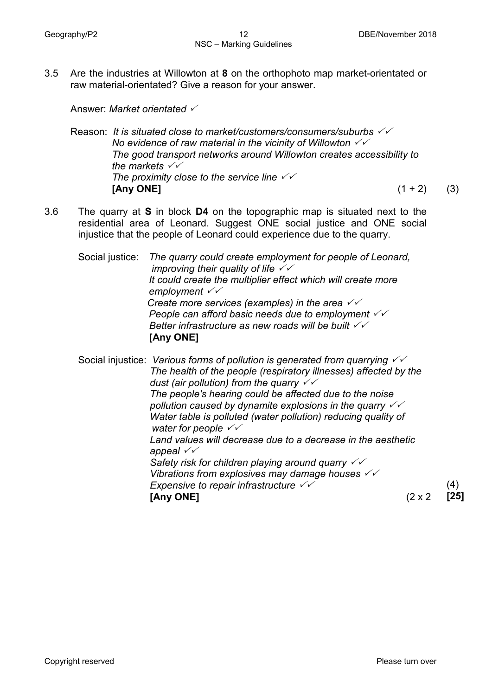3.5 Are the industries at Willowton at **8** on the orthophoto map market-orientated or raw material-orientated? Give a reason for your answer.

Answer: *Market orientated*

Reason: *It is situated close to market/customers/consumers/suburbs No evidence of raw material in the vicinity of Willowton The good transport networks around Willowton creates accessibility to the markets The proximity close to the service line*   $[Any ONE]$  (1 + 2) (3)

3.6 The quarry at **S** in block **D4** on the topographic map is situated next to the residential area of Leonard. Suggest ONE social justice and ONE social injustice that the people of Leonard could experience due to the quarry.

Social justice: *The quarry could create employment for people of Leonard, improving their quality of life It could create the multiplier effect which will create more employment Create more services (examples) in the area People can afford basic needs due to employment Better infrastructure as new roads will be built* **[Any ONE]**

Social injustice: *Various forms of pollution is generated from quarrying The health of the people (respiratory illnesses) affected by the dust (air pollution) from the quarry The people's hearing could be affected due to the noise pollution caused by dynamite explosions in the quarry Water table is polluted (water pollution) reducing quality of water for people Land values will decrease due to a decrease in the aesthetic appeal Safety risk for children playing around quarry Vibrations from explosives may damage houses Expensive to repair infrastructure* **[Any ONE]** (2 x 2 (4) **[25]**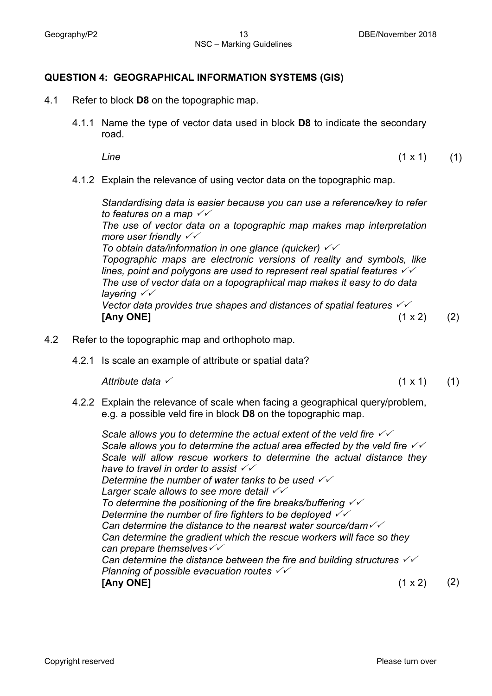### **QUESTION 4: GEOGRAPHICAL INFORMATION SYSTEMS (GIS)**

- 4.1 Refer to block **D8** on the topographic map.
	- 4.1.1 Name the type of vector data used in block **D8** to indicate the secondary road.

*Line* (1 x 1) (1)

4.1.2 Explain the relevance of using vector data on the topographic map.

*Standardising data is easier because you can use a reference/key to refer to features on a map* 

*The use of vector data on a topographic map makes map interpretation more user friendly* 

*To obtain data/information in one glance (quicker) Topographic maps are electronic versions of reality and symbols, like lines, point and polygons are used to represent real spatial features The use of vector data on a topographical map makes it easy to do data layering Vector data provides true shapes and distances of spatial features* **[Any ONE]** (1 x 2) (2)

- 4.2 Refer to the topographic map and orthophoto map.
	- 4.2.1 Is scale an example of attribute or spatial data?

*Attribute data*  $\checkmark$  (1) (1) (1) (1) (1)

4.2.2 Explain the relevance of scale when facing a geographical query/problem, e.g. a possible veld fire in block **D8** on the topographic map.

*Scale allows you to determine the actual extent of the veld fire*  $\sqrt{2}$ *Scale allows you to determine the actual area effected by the veld fire Scale will allow rescue workers to determine the actual distance they have to travel in order to assist Determine the number of water tanks to be used Larger scale allows to see more detail To determine the positioning of the fire breaks/buffering Determine the number of fire fighters to be deployed Can determine the distance to the nearest water source/dam Can determine the gradient which the rescue workers will face so they can prepare themselves Can determine the distance between the fire and building structures Planning of possible evacuation routes*  **[Any ONE]** (1 x 2) (2)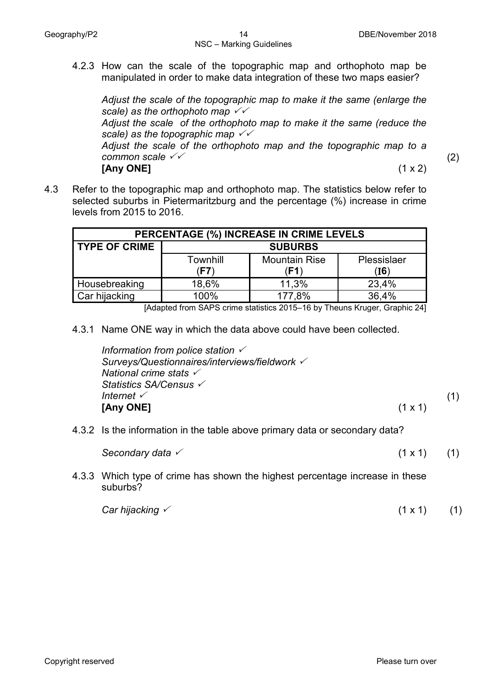4.2.3 How can the scale of the topographic map and orthophoto map be manipulated in order to make data integration of these two maps easier?

*Adjust the scale of the topographic map to make it the same (enlarge the scale) as the orthophoto map Adjust the scale of the orthophoto map to make it the same (reduce the scale) as the topographic map Adjust the scale of the orthophoto map and the topographic map to a* 

*common scale*  **[Any ONE]** (1 x 2)

(2)

4.3 Refer to the topographic map and orthophoto map. The statistics below refer to selected suburbs in Pietermaritzburg and the percentage (%) increase in crime levels from 2015 to 2016.

| PERCENTAGE (%) INCREASE IN CRIME LEVELS |                  |                              |                     |
|-----------------------------------------|------------------|------------------------------|---------------------|
| <b>TYPE OF CRIME</b>                    | <b>SUBURBS</b>   |                              |                     |
|                                         | Townhill<br>(F7) | <b>Mountain Rise</b><br>(F1) | Plessislaer<br>(I6) |
| Housebreaking                           | 18,6%            | 11,3%                        | 23,4%               |
| Car hijacking                           | 100%             | 177,8%                       | 36,4%               |

[Adapted from SAPS crime statistics 2015–16 by Theuns Kruger, Graphic 24]

4.3.1 Name ONE way in which the data above could have been collected.

| Information from police station $\checkmark$  |                |     |
|-----------------------------------------------|----------------|-----|
| Surveys/Questionnaires/interviews/fieldwork V |                |     |
| National crime stats $\checkmark$             |                |     |
| Statistics SA/Census ✓                        |                |     |
| Internet $\checkmark$                         |                | (1) |
| [Any ONE]                                     | $(1 \times 1)$ |     |

4.3.2 Is the information in the table above primary data or secondary data?

*Secondary data*  $\times$  (1 x 1) (1)

- 
- 4.3.3 Which type of crime has shown the highest percentage increase in these suburbs?

| Car hijacking $\checkmark$ | $(1 \times 1)$ | (1) |
|----------------------------|----------------|-----|
|----------------------------|----------------|-----|